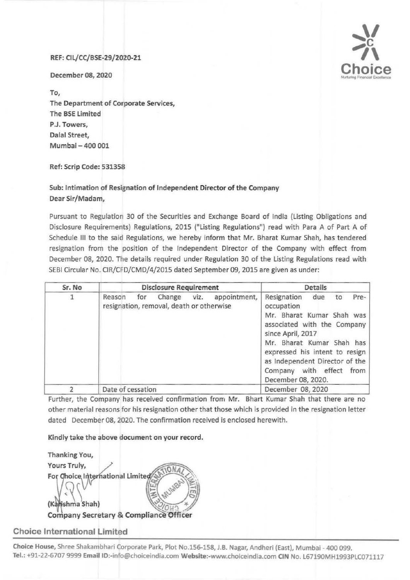## REF: Cll/CC/BSE-29/2020-21

December 08, 2020

To, The Department of Corporate Services, The SSE Limited P.J. Towers, Dalal Street, Mumbai- 400 001

Ref: Scrip Code: 531358

## Sub: Intimation of Resignation of Independent Director of the Company Dear Sir/Madam,

Pursuant to Regulation 30 of the Securities and Exchange Board of India (Listing Obligations and Disclosure Requirements) Regulations, 2015 ("Listing Regulations") read with Para A of Part A of Schedule Ill to the said Regulations, we hereby inform that Mr. Bharat Kumar Shah, has tendered resignation from the position of the Independent Director of the Company with effect from December 08, 2020. The details required under Regulation 30 of the Listing Regulations read with SEBI Circular No. CIR/CFD/CMD/4/2015 dated September 09, 2015 are given as under:

| Sr. No | <b>Disclosure Requirement</b>                                                               | Details                                                                                                                                                                                                                                                                               |
|--------|---------------------------------------------------------------------------------------------|---------------------------------------------------------------------------------------------------------------------------------------------------------------------------------------------------------------------------------------------------------------------------------------|
| 1      | appointment,<br>Change<br>viz.<br>Reason<br>for<br>resignation, removal, death or otherwise | Resignation<br>due<br>Pre-<br>to<br>occupation<br>Mr. Bharat Kumar Shah was<br>associated with the Company<br>since April, 2017<br>Mr. Bharat Kumar Shah has<br>expressed his intent to resign<br>as Independent Director of the<br>Company with effect<br>from<br>December 08, 2020. |
|        | Date of cessation                                                                           | December 08, 2020                                                                                                                                                                                                                                                                     |

Further, the Company has received confirmation from Mr. Bhart Kumar Shah that there are no other material reasons for his resignation other that those which is provided in the resignation letter dated December 08, 2020. The confirmation received is enclosed herewith.

Kindly take the above document on your record.

Thanking You, Yours Truly, For Choice International Limited (Kahishma Shah) **Company Secretary & Compliance Officer** 

## Choice International Limited

Choice House, Shree Shakambhari Corporate Park, Plot No.156-158, J.B. Nagar, Andheri (East), Mumbai - 400 099. Tel.: +91-22-6707 9999 Email ID:-info@choiceindia.com Website:-www.choiceindia.com CIN No. L67190MH1993PLC071117